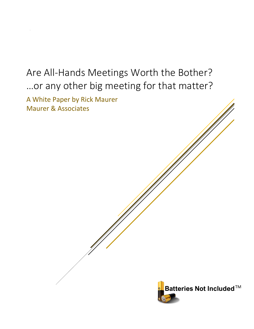# Are All-Hands Meetings Worth the Bother? …or any other big meeting for that matter?

A White Paper by Rick Maurer Maurer & Associates

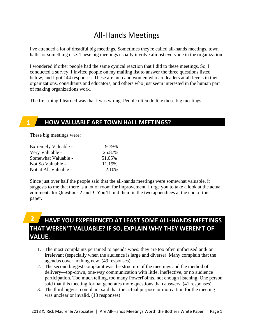# All-Hands Meetings

I've attended a lot of dreadful big meetings. Sometimes they're called all-hands meetings, town halls, or something else. These big meetings usually involve almost everyone in the organization.

I wondered if other people had the same cynical reaction that I did to these meetings. So, I conducted a survey. I invited people on my mailing list to answer the three questions listed below, and I got 144 responses. These are men and women who are leaders at all levels in their organizations, consultants and educators, and others who just seem interested in the human part of making organizations work.

The first thing I learned was that I was wrong. People often do like these big meetings.

### **HOW VALUABLE ARE TOWN HALL MEETINGS?**

These big meetings were:

**1**

| Extremely Valuable -  | 9.79%  |
|-----------------------|--------|
| Very Valuable -       | 25.87% |
| Somewhat Valuable -   | 51.05% |
| Not So Valuable -     | 11.19% |
| Not at All Valuable - | 2.10%  |

Since just over half the people said that the all-hands meetings were somewhat valuable, it suggests to me that there is a lot of room for improvement. I urge you to take a look at the actual comments for Questions 2 and 3. You'll find them in the two appendices at the end of this paper.

#### **HAVE YOU EXPERIENCED AT LEAST SOME ALL-HANDS MEETINGS THAT WEREN'T VALUABLE? IF SO, EXPLAIN WHY THEY WEREN'T OF VALUE. 2**

- 1. The most complaints pertained to agenda woes: they are too often unfocused and/ or irrelevant (especially when the audience is large and diverse). Many complain that the agendas cover nothing new. (49 responses)
- 2. The second biggest complaint was the structure of the meetings and the method of delivery—top-down, one-way communication with little, ineffective, or no audience participation. Too much telling, too many PowerPoints, not enough listening. One person said that this meeting format generates more questions than answers. (41 responses)
- 3. The third biggest complaint said that the actual purpose or motivation for the meeting was unclear or invalid. (18 responses)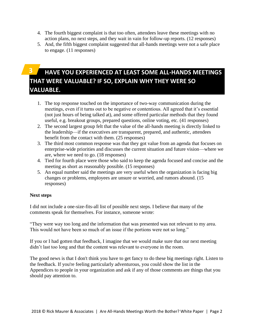- 4. The fourth biggest complaint is that too often, attendees leave these meetings with no action plans, no next steps, and they wait in vain for follow-up reports. (12 responses)
- 5. And, the fifth biggest complaint suggested that all-hands meetings were not a safe place to engage. (11 responses)

# **3**

# **HAVE YOU EXPERIENCED AT LEAST SOME ALL-HANDS MEETINGS THAT WERE VALUABLE? IF SO, EXPLAIN WHY THEY WERE SO VALUABLE.**

- 1. The top response touched on the importance of two-way communication during the meetings, even if it turns out to be negative or contentious. All agreed that it's essential (not just hours of being talked at), and some offered particular methods that they found useful, e.g. breakout groups, prepared questions, online voting, etc. (41 responses)
- 2. The second largest group felt that the value of the all-hands meeting is directly linked to the leadership—if the executives are transparent, prepared, and authentic, attendees benefit from the contact with them. (25 responses)
- 3. The third most common response was that they got value from an agenda that focuses on enterprise-wide priorities and discusses the current situation and future vision—where we are, where we need to go. (18 responses)
- 4. Tied for fourth place were those who said to keep the agenda focused and concise and the meeting as short as reasonably possible. (15 responses)
- 5. An equal number said the meetings are very useful when the organization is facing big changes or problems, employees are unsure or worried, and rumors abound. (15 responses)

#### **Next steps**

I did not include a one-size-fits-all list of possible next steps. I believe that many of the comments speak for themselves. For instance, someone wrote:

"They were way too long and the information that was presented was not relevant to my area. This would not have been so much of an issue if the portions were not so long."

If you or I had gotten that feedback, I imagine that we would make sure that our next meeting didn't last too long and that the content was relevant to everyone in the room.

The good news is that I don't think you have to get fancy to do these big meetings right. Listen to the feedback. If you're feeling particularly adventurous, you could show the list in the Appendices to people in your organization and ask if any of those comments are things that you should pay attention to.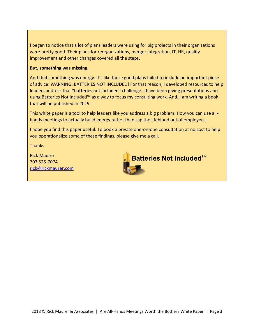I began to notice that a lot of plans leaders were using for big projects in their organizations were pretty good. Their plans for reorganizations, merger integration, IT, HR, quality improvement and other changes covered all the steps.

#### **But, something was missing.**

And that something was energy. It's like these good plans failed to include an important piece of advice: WARNING: BATTERIES NOT INCLUDED! For that reason, I developed resources to help leaders address that "batteries not included" challenge. I have been giving presentations and using Batteries Not Included™ as a way to focus my consulting work. And, I am writing a book that will be published in 2019.

This white paper is a tool to help leaders like you address a big problem: How you can use allhands meetings to actually build energy rather than sap the lifeblood out of employees.

I hope you find this paper useful. To book a private one-on-one consultation at no cost to help you operationalize some of these findings, please give me a call.

Thanks.

Rick Maurer 703 525-7074 [rick@rickmaurer.com](mailto:rick@rickmaurer.com)

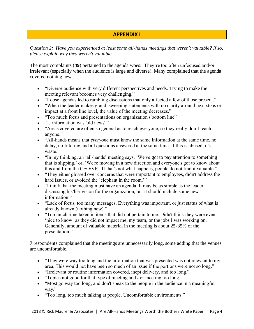#### **APPENDIX I**

*Question 2: Have you experienced at least some all-hands meetings that weren't valuable? If so, please explain why they weren't valuable.*

The most complaints (**49**) pertained to the agenda woes: They're too often unfocused and/or irrelevant (especially when the audience is large and diverse). Many complained that the agenda covered nothing new.

- "Diverse audience with very different perspectives and needs. Trying to make the meeting relevant becomes very challenging."
- "Loose agendas led to rambling discussions that only affected a few of those present."
- "When the leader makes grand, sweeping statements with no clarity around next steps or impact at a front line level, the value of the meeting decreases."
- "Too much focus and presentations on organization's bottom line"
- "…information was 'old news'."
- "Areas covered are often so general as to reach everyone, so they really don't reach anyone."
- "All-hands means that *everyone* must know the same information at the same time, no delay, no filtering and all questions answered at the same time. If this is abused, it's a waste."
- "In my thinking, an 'all-hands' meeting says, 'We've got to pay attention to something that is slipping,' or, 'We're moving in a new direction and everyone's got to know about this and from the CEO/VP.' If that's not what happens, people do not find it valuable."
- "They either glossed over concerns that were important to employees, didn't address the hard issues, or avoided the 'elephant in the room."
- "I think that the meeting must have an agenda. It may be as simple as the leader discussing his/her vision for the organization, but it should include some new information."
- "Lack of focus, too many messages. Everything was important, or just status of what is already known (nothing new)."
- "Too much time taken in items that did not pertain to me. Didn't think they were even 'nice to know' as they did not impact me, my team, or the jobs I was working on. Generally, amount of valuable material in the meeting is about 25-35% of the presentation."

**7** respondents complained that the meetings are unnecessarily long, some adding that the venues are uncomfortable.

- "They were way too long and the information that was presented was not relevant to my area. This would not have been so much of an issue if the portions were not so long."
- "Irrelevant or routine information covered, inept delivery, and too long."
- "Topics not good for that type of meeting and / or meeting too long."
- "Most go way too long, and don't speak to the people in the audience in a meaningful way."
- "Too long, too much talking at people. Uncomfortable environments."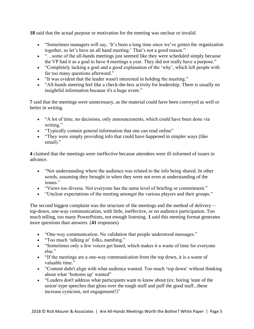**18** said that the actual purpose or motivation for the meeting was unclear or invalid.

- "Sometimes managers will say, 'It's been a long time since we've gotten the organization together, so let's have an all hand meeting.' That's not a good reason."
- "...some of the all-hands meetings just seemed like they were scheduled simply because the VP had it as a goal to have 4 meetings a year. They did not really have a purpose."
- "Completely lacking a goal and a good explanation of the 'why', which left people with far too many questions afterward."
- "It was evident that the leader wasn't interested in holding the meeting."
- "All-hands meeting feel like a check-the-box activity for leadership. There is usually no insightful information because it's a huge event."

**7** said that the meetings were unnecessary, as the material could have been conveyed as well or better in writing.

- "A lot of time, no decisions, only announcements, which could have been done via writing."
- "Typically contain general information that one can read online"
- "They were simply providing info that could have happened in simpler ways (like email)."

**4** claimed that the meetings were ineffective because attendees were ill-informed of issues in advance.

- "Not understanding where the audience was related to the info being shared. In other words, assuming they brought in when they were not even at understanding of the issues."
- "Views too diverse. Not everyone has the same level of briefing or commitment."
- "Unclear expectations of the meeting amongst the various players and their groups."

The second biggest complaint was the structure of the meetings and the method of delivery top-down, one-way communication, with little, ineffective, or no audience participation. Too much telling, too many PowerPoints, not enough listening. **1** said this meeting format generates more questions than answers. (**41** responses)

- "One-way communication. No validation that people understood messages."
- "Too much 'talking at' folks, numbing."
- "Sometimes only a few voices get heard, which makes it a waste of time for everyone else."
- "If the meetings are a one-way communication from the top down, it is a waste of valuable time."
- "Content didn't align with what audience wanted. Too much 'top down' without thinking about what 'bottoms up' wanted"
- "Leaders don't address what participants want to know about (ex: boring 'state of the union'-type speeches that gloss over the tough stuff and puff the good stuff...these increase cynicism, not engagement!)"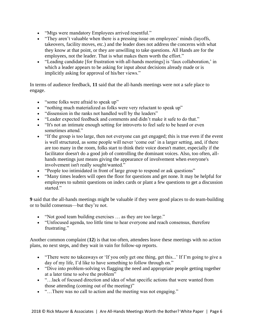- "Mtgs were mandatory Employees arrived resentful."
- "They aren't valuable when there is a pressing issue on employees' minds (layoffs, takeovers, facility moves, etc.) and the leader does not address the concerns with what they know at that point, or they are unwilling to take questions. All Hands are for the employees, not the leader. That is what makes them worth the effort."
- "Leading candidate [for frustration with all-hands meetings] is 'faux collaboration,' in which a leader appears to be asking for input about decisions already made or is implicitly asking for approval of his/her views."

In terms of audience feedback, **11** said that the all-hands meetings were not a safe place to engage.

- "some folks were afraid to speak up"
- "nothing much materialized as folks were very reluctant to speak up"
- "dissension in the ranks not handled well by the leaders"
- "Leader expected feedback and comments and didn't make it safe to do that."
- "It's not an intimate enough setting for introverts to feel safe to be heard or even sometimes attend."
- "If the group is too large, then not everyone can get engaged; this is true even if the event is well structured, as some people will never 'come out' in a larger setting, and, if there are too many in the room, folks start to think their voice doesn't matter, especially if the facilitator doesn't do a good job of controlling the dominant voices. Also, too often, allhands meetings just means giving the appearance of involvement when everyone's involvement isn't really sought/wanted."
- "People too intimidated in front of large group to respond or ask questions"
- "Many times leaders will open the floor for questions and get none. It may be helpful for employees to submit questions on index cards or plant a few questions to get a discussion started."

**9** said that the all-hands meetings might be valuable if they were good places to do team-building or to build consensus—but they're not.

- "Not good team building exercises ... as they are too large."
- "Unfocused agenda, too little time to hear everyone and reach consensus, therefore frustrating."

Another common complaint (**12**) is that too often, attendees leave these meetings with no action plans, no next steps, and they wait in vain for follow-up reports.

- "There were no takeaways or 'If you only get one thing, get this...' If I'm going to give a day of my life, I'd like to have something to follow through on."
- "Dive into problem-solving vs flagging the need and appropriate people getting together at a later time to solve the problem"
- "…lack of focused direction and idea of what specific actions that were wanted from those attending (coming out of the meeting)"
- "…There was no call to action and the meeting was not engaging."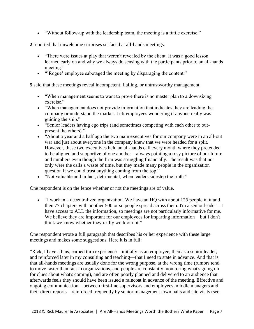• "Without follow-up with the leadership team, the meeting is a futile exercise."

**2** reported that unwelcome surprises surfaced at all-hands meetings.

- "There were issues at play that weren't revealed by the client. It was a good lesson learned early on and why we always do sensing with the participants prior to an all-hands meeting."
- "'Rogue' employee sabotaged the meeting by disparaging the content."

**5** said that these meetings reveal incompetent, flailing, or untrustworthy management.

- "When management seems to want to prove there is no master plan to a downsizing exercise."
- "When management does not provide information that indicates they are leading the company or understand the market. Left employees wondering if anyone really was guiding the ship."
- "Senior leaders having ego trips (and sometimes competing with each other to outpresent the others)."
- "About a year and a half ago the two main executives for our company were in an all-out war and just about everyone in the company knew that we were headed for a split. However, these two executives held an all-hands call every month where they pretended to be aligned and supportive of one another—always painting a rosy picture of our future and numbers even though the firm was struggling financially. The result was that not only were the calls a waste of time, but they made many people in the organization question if we could trust anything coming from the top."
- "Not valuable and in fact, detrimental, when leaders sidestep the truth."

One respondent is on the fence whether or not the meetings are of value.

• "I work in a decentralized organization. We have an HQ with about 125 people in it and then 77 chapters with another 500 or so people spread across them. I'm a senior leader—I have access to ALL the information, so meetings are not particularly informative for me. We believe they are important for our employees for imparting information—but I don't think we know whether they really work or not."

One respondent wrote a full paragraph that describes his or her experience with these large meetings and makes some suggestions. Here it is in full:

"Rick, I have a bias, earned thru experience—initially as an employee, then as a senior leader, and reinforced later in my consulting and teaching—that I need to state in advance. And that is that all-hands meetings are usually done for the wrong purpose, at the wrong time (rumors tend to move faster than fact in organizations, and people are constantly monitoring what's going on for clues about what's coming), and are often poorly planned and delivered to an audience that afterwards feels they should have been issued a raincoat in advance of the meeting. Effective and ongoing communication—between first-line supervisors and employees, middle managers and their direct reports—reinforced frequently by senior management town halls and site visits (see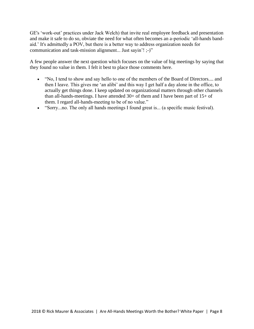GE's 'work-out' practices under Jack Welch) that invite real employee feedback and presentation and make it safe to do so, obviate the need for what often becomes an a-periodic 'all-hands bandaid.' It's admittedly a POV, but there is a better way to address organization needs for communication and task-mission alignment... Just sayin'! ;-)"

A few people answer the next question which focuses on the value of big meetings by saying that they found no value in them. I felt it best to place those comments here.

- "No, I tend to show and say hello to one of the members of the Board of Directors.... and then I leave. This gives me 'an alibi' and this way I get half a day alone in the office, to actually get things done. I keep updated on organizational matters through other channels than all-hands-meetings. I have attended  $30+$  of them and I have been part of  $15+$  of them. I regard all-hands-meeting to be of no value."
- "Sorry...no. The only all hands meetings I found great is... (a specific music festival).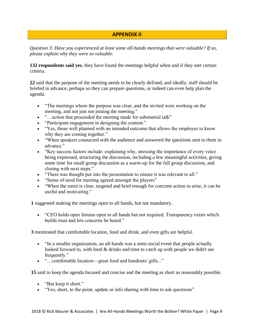#### **APPENDIX II**

*Question 3: Have you experienced at least some all-hands meetings that were valuable? If so, please explain why they were so valuable.*

**132 respondents said yes**, they have found the meetings helpful when and if they met certain criteria.

**22** said that the purpose of the meeting needs to be clearly defined, and ideally, staff should be briefed in advance, perhaps so they can prepare questions, or indeed can even help plan the agenda.

- "The meetings where the purpose was clear, and the invited were working on the meeting, and not just not joining the meeting."
- "...action that proceeded the meeting made for substantial talk"
- "Participant engagement in designing the content."
- "Yes, those well planned with an intended outcome that allows the employee to know why they are coming together."
- "When speakers connected with the audience and answered the questions sent to them in advance."
- "Key success factors include: explaining why, stressing the importance of every voice being expressed, structuring the discussion, including a few meaningful activities, giving some time for small group discussion as a warm-up for the full group discussion, and closing with next steps."
- "There was thought put into the presentation to ensure it was relevant to all."
- "Sense of need for meeting agreed amongst the players"
- "When the remit is clear, targeted and brief enough for concrete action to arise, it can be useful and motivating."

**1** suggested making the meetings open to all hands, but not mandatory.

• "CEO holds open forums open to all hands but not required. Transparency exists which builds trust and lets concerns be heard."

**3** mentioned that comfortable location, food and drink, and even gifts are helpful.

- "In a smaller organization, an all-hands was a semi-social event that people actually looked forward to, with food & drinks and time to catch up with people we didn't see frequently."
- "...comfortable location—great food and handouts/gifts..."

**15** said to keep the agenda focused and concise and the meeting as short as reasonably possible.

- "But keep it short."
- "Yes, short, to the point, update or info sharing with time to ask questions"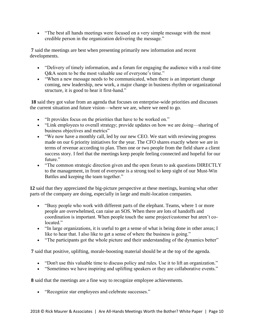• "The best all hands meetings were focused on a very simple message with the most credible person in the organization delivering the message."

**7** said the meetings are best when presenting primarily new information and recent developments.

- "Delivery of timely information, and a forum for engaging the audience with a real-time Q&A seem to be the most valuable use of everyone's time."
- "When a new message needs to be communicated, when there is an important change coming, new leadership, new work, a major change in business rhythm or organizational structure, it is good to hear it first-hand."

**18** said they got value from an agenda that focuses on enterprise-wide priorities and discusses the current situation and future vision—where we are, where we need to go.

- "It provides focus on the priorities that have to be worked on."
- "Link employees to overall strategy; provide updates on how we are doing—sharing of business objectives and metrics"
- "We now have a monthly call, led by our new CEO. We start with reviewing progress made on our 6 priority initiatives for the year. The CFO shares exactly where we are in terms of revenue according to plan. Then one or two people from the field share a client success story. I feel that the meetings keep people feeling connected and hopeful for our future."
- "The common strategic direction given and the open forum to ask questions DIRECTLY to the management, in front of everyone is a strong tool to keep sight of our Must-Win Battles and keeping the team together."

**12** said that they appreciated the big-picture perspective at these meetings, learning what other parts of the company are doing, especially in large and multi-location companies.

- "Busy people who work with different parts of the elephant. Teams, where 1 or more people are overwhelmed, can raise an SOS. When there are lots of handoffs and coordination is important. When people touch the same project/customer but aren't colocated."
- "In large organizations, it is useful to get a sense of what is being done in other areas; I like to hear that. I also like to get a sense of where the business is going."
- "The participants got the whole picture and their understanding of the dynamics better"

**7** said that positive, uplifting, morale-boosting material should be at the top of the agenda.

- "Don't use this valuable time to discuss policy and rules. Use it to lift an organization."
- "Sometimes we have inspiring and uplifting speakers or they are collaborative events."

**8** said that the meetings are a fine way to recognize employee achievements.

• "Recognize star employees and celebrate successes."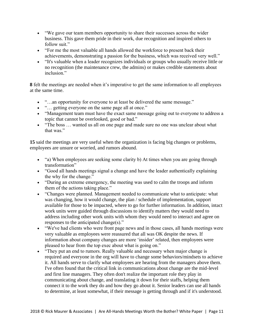- "We gave our team members opportunity to share their successes across the wider business. This gave them pride in their work, due recognition and inspired others to follow suit."
- "For me the most valuable all hands allowed the workforce to present back their achievements, demonstrating a passion for the business, which was received very well."
- "It's valuable when a leader recognizes individuals or groups who usually receive little or no recognition (the maintenance crew, the admins) or makes credible statements about inclusion."

**8** felt the meetings are needed when it's imperative to get the same information to all employees at the same time.

- "...an opportunity for everyone to at least be delivered the same message."
- "... getting everyone on the same page all at once."
- "Management team must have the exact same message going out to everyone to address a topic that cannot be overlooked, good or bad."
- "The boss ... wanted us all on one page and made sure no one was unclear about what that was."

**15** said the meetings are very useful when the organization is facing big changes or problems, employees are unsure or worried, and rumors abound.

- "a) When employees are seeking some clarity b) At times when you are going through transformation"
- "Good all hands meetings signal a change and have the leader authentically explaining the why for the change."
- "During an extreme emergency, the meeting was used to calm the troops and inform them of the actions taking place."
- "Changes were planned. Management needed to communicate what to anticipate: what was changing, how it would change, the plan / schedule of implementation, support available for those to be impacted, where to go for further information. In addition, intact work units were guided through discussions to identify matters they would need to address including other work units with whom they would need to interact and agree on responses to the anticipated change(s)."
- "We've had clients who were front page news and in those cases, all hands meetings were very valuable as employees were reassured that all was OK despite the news. If information about company changes are more 'insider' related, then employees were pleased to hear from the top exec about what is going on."
- "They put an end to rumors. Really valuable and necessary when major change is required and everyone in the org will have to change some behaviors/mindsets to achieve it. All hands serve to clarify what employees are hearing from the managers above them. I've often found that the critical link in communications about change are the mid-level and first line managers. They often don't realize the important role they play in communicating about change, and translating it down for their staffs, helping them connect it to the work they do and how they go about it. Senior leaders can use all hands to determine, at least somewhat, if their message is getting through and if it's understood.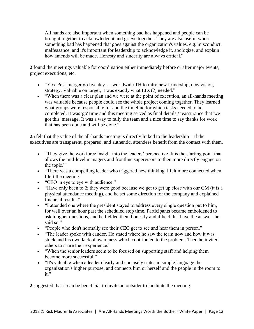All hands are also important when something bad has happened and people can be brought together to acknowledge it and grieve together. They are also useful when something bad has happened that goes against the organization's values, e.g. misconduct, malfeasance, and it's important for leadership to acknowledge it, apologize, and explain how amends will be made. Honesty and sincerity are always critical."

**2** found the meetings valuable for coordination either immediately before or after major events, project executions, etc.

- "Yes. Post-merger go live day … worldwide TH to intro new leadership, new vision, strategy. Valuable on target, it was exactly what EEs (?) needed."
- "When there was a clear plan and we were at the point of execution, an all-hands meeting was valuable because people could see the whole project coming together. They learned what groups were responsible for and the timeline for which tasks needed to be completed. It was 'go' time and this meeting served as final details / reassurance that 'we got this' message. It was a way to rally the team and a nice time to say thanks for work that has been done and will be done."

**25** felt that the value of the all-hands meeting is directly linked to the leadership—if the executives are transparent, prepared, and authentic, attendees benefit from the contact with them.

- "They give the workforce insight into the leaders' perspective. It is the starting point that allows the mid-level managers and frontline supervisors to then more directly engage on the topic."
- "There was a compelling leader who triggered new thinking. I felt more connected when I left the meeting."
- "CEO in eye to eye with audience."
- "Have only been to 2; they were good because we get to get up close with our GM (it is a physical attendance meeting), and he set some direction for the company and explained financial results."
- "I attended one where the president stayed to address every single question put to him, for well over an hour past the scheduled stop time. Participants became emboldened to ask tougher questions, and he fielded them honestly and if he didn't have the answer, he said so."
- "People who don't normally see their CEO get to see and hear them in person."
- "The leader spoke with candor. He stated where he saw the team now and how it was stuck and his own lack of awareness which contributed to the problem. Then he invited others to share their experience."
- "When the senior leaders seem to be focused on supporting staff and helping them become more successful."
- "It's valuable when a leader clearly and concisely states in simple language the organization's higher purpose, and connects him or herself and the people in the room to it."

**2** suggested that it can be beneficial to invite an outsider to facilitate the meeting.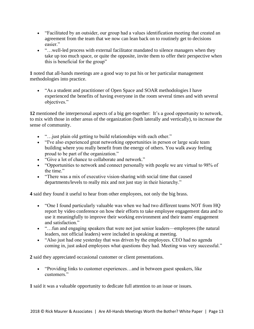- "Facilitated by an outsider, our group had a values identification meeting that created an agreement from the team that we now can lean back on to routinely get to decisions easier."
- "... well-led process with external facilitator mandated to silence managers when they take up too much space, or quite the opposite, invite them to offer their perspective when this is beneficial for the group"

**1** noted that all-hands meetings are a good way to put his or her particular management methodologies into practice.

• "As a student and practitioner of Open Space and SOAR methodologies I have experienced the benefits of having everyone in the room several times and with several objectives."

**12** mentioned the interpersonal aspects of a big get-together: It's a good opportunity to network, to mix with those in other areas of the organization (both laterally and vertically), to increase the sense of community.

- "... just plain old getting to build relationships with each other."
- "I've also experienced great networking opportunities in person or large scale team building where you really benefit from the energy of others. You walk away feeling proud to be part of the organization."
- "Give a lot of chance to collaborate and network."
- "Opportunities to network and connect personally with people we are virtual to 98% of the time."
- "There was a mix of executive vision-sharing with social time that caused departments/levels to really mix and not just stay in their hierarchy."

**4** said they found it useful to hear from other employees, not only the big brass.

- "One I found particularly valuable was when we had two different teams NOT from HQ report by video conference on how their efforts to take employee engagement data and to use it meaningfully to improve their working environment and their teams' engagement and satisfaction."
- "...fun and engaging speakers that were not just senior leaders—employees (the natural leaders, not official leaders) were included in speaking at meeting.
- "Also just had one yesterday that was driven by the employees. CEO had no agenda coming in, just asked employees what questions they had. Meeting was very successful."

**2** said they appreciated occasional customer or client presentations.

• "Providing links to customer experiences...and in between guest speakers, like customers."

**1** said it was a valuable opportunity to dedicate full attention to an issue or issues.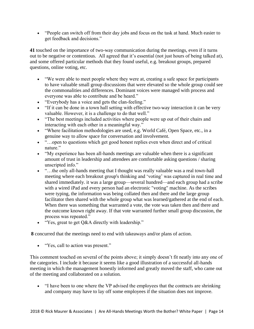• "People can switch off from their day jobs and focus on the task at hand. Much easier to get feedback and decisions."

**41** touched on the importance of two-way communication during the meetings, even if it turns out to be negative or contentious. All agreed that it's essential (not just hours of being talked at), and some offered particular methods that they found useful, e.g. breakout groups, prepared questions, online voting, etc.

- "We were able to meet people where they were at, creating a safe space for participants to have valuable small group discussions that were elevated so the whole group could see the commonalities and differences. Dominant voices were managed with process and everyone was able to contribute and be heard."
- "Everybody has a voice and gets the clan-feeling."
- "If it can be done in a town hall setting with effective two-way interaction it can be very valuable. However, it is a challenge to do that well."
- "The best meetings included activities where people were up out of their chairs and interacting with each other in a meaningful way."
- "Where facilitation methodologies are used, e.g. World Café, Open Space, etc., in a genuine way to allow space for conversation and involvement.
- "...open to questions which get good honest replies even when direct and of critical nature."
- "My experience has been all-hands meetings are valuable when there is a significant amount of trust in leadership and attendees are comfortable asking questions / sharing unscripted info."
- "…the only all-hands meeting that I thought was really valuable was a real town-hall meeting where each breakout group's thinking and 'voting' was captured in real time and shared immediately. it was a large group—several hundred—and each group had a scribe with a wired iPad and every person had an electronic "voting" machine. As the scribes were typing, the information was being collated then and there and the large group facilitator then shared with the whole group what was learned/gathered at the end of each. When there was something that warranted a vote, the vote was taken then and there and the outcome known right away. If that vote warranted further small group discussion, the process was repeated."
- "Yes, great to get Q&A directly with leadership."

**8** concurred that the meetings need to end with takeaways and/or plans of action.

• "Yes, call to action was present."

This comment touched on several of the points above; it simply doesn't fit neatly into any one of the categories. I include it because it seems like a good illustration of a successful all-hands meeting in which the management honestly informed and greatly moved the staff, who came out of the meeting and collaborated on a solution.

• "I have been to one where the VP advised the employees that the contracts are shrinking and company may have to lay off some employees if the situation does not improve.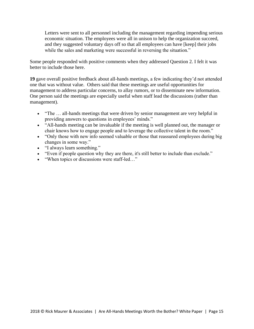Letters were sent to all personnel including the management regarding impending serious economic situation. The employees were all in unison to help the organization succeed, and they suggested voluntary days off so that all employees can have [keep] their jobs while the sales and marketing were successful in reversing the situation."

Some people responded with positive comments when they addressed Question 2. I felt it was better to include those here.

**19** gave overall positive feedback about all-hands meetings, a few indicating they'd not attended one that was without value. Others said that these meetings are useful opportunities for management to address particular concerns, to allay rumors, or to disseminate new information. One person said the meetings are especially useful when staff lead the discussions (rather than management).

- "The ... all-hands meetings that were driven by senior management are very helpful in providing answers to questions in employees' minds."
- "All-hands meeting can be invaluable if the meeting is well planned out, the manager or chair knows how to engage people and to leverage the collective talent in the room."
- "Only those with new info seemed valuable or those that reassured employees during big changes in some way."
- "I always learn something."
- "Even if people question why they are there, it's still better to include than exclude."
- "When topics or discussions were staff-led..."